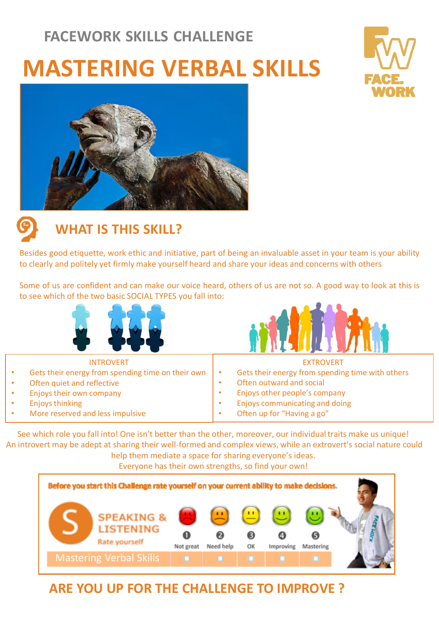### **FACEWORK SKILLS CHALLENGE**

# **MASTERING VERBAL SKILLS**







### **WHAT IS THIS SKILL?**

Besides good etiquette, work ethic and initiative, part of being an invaluable asset in your team is your ability to clearly and politely yet firmly make yourself heard and share your ideas and concerns with others

Some of us are confident and can make our voice heard, others of us are not so. A good way to look at this is to see which of the two basic SOCIAL TYPES you fall into:



See which role you fall into! One isn't better than the other, moreover, our individual traits make us unique! An introvert may be adept at sharing their well-formed and complex views, while an extrovert's social nature could help them mediate a space for sharing everyone's ideas. Everyone has their own strengths, so find your own!



### **ARE YOU UP FOR THE CHALLENGE TO IMPROVE ?**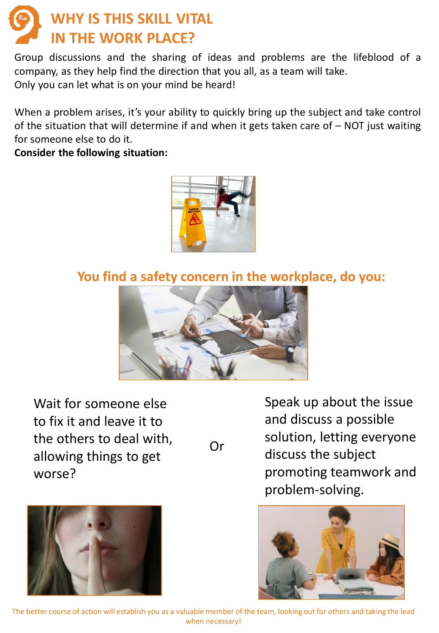

Group discussions and the sharing of ideas and problems are the lifeblood of a company, as they help find the direction that you all, as a team will take. Only you can let what is on your mind be heard!

When a problem arises, it's your ability to quickly bring up the subject and take control of the situation that will determine if and when it gets taken care of – NOT just waiting for someone else to do it.

**Consider the following situation:**



**You find a safety concern in the workplace, do you:**



Wait for someone else to fix it and leave it to the others to deal with, allowing things to get worse?

Or



Speak up about the issue and discuss a possible solution, letting everyone discuss the subject promoting teamwork and problem-solving.



The better course of action will establish you as a valuable member of the team, looking out for others and taking the lead when necessary!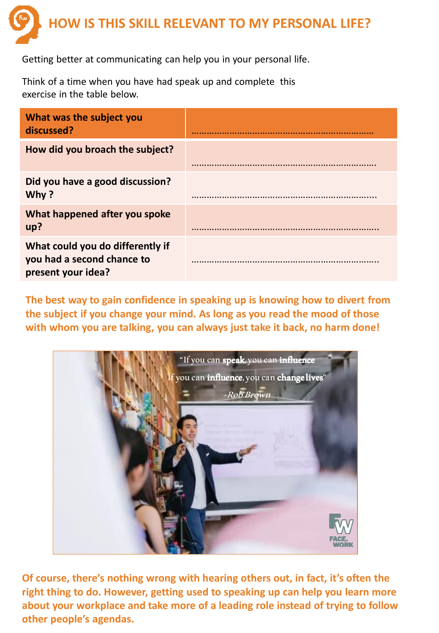

Getting better at communicating can help you in your personal life.

Think of a time when you have had speak up and complete this exercise in the table below.

| What was the subject you<br>discussed?                                               |  |
|--------------------------------------------------------------------------------------|--|
| How did you broach the subject?                                                      |  |
| Did you have a good discussion?<br>Why?                                              |  |
| What happened after you spoke<br>up?                                                 |  |
| What could you do differently if<br>you had a second chance to<br>present your idea? |  |

**The best way to gain confidence in speaking up is knowing how to divert from the subject if you change your mind. As long as you read the mood of those with whom you are talking, you can always just take it back, no harm done!**



**Of course, there's nothing wrong with hearing others out, in fact, it's often the right thing to do. However, getting used to speaking up can help you learn more about your workplace and take more of a leading role instead of trying to follow other people's agendas.**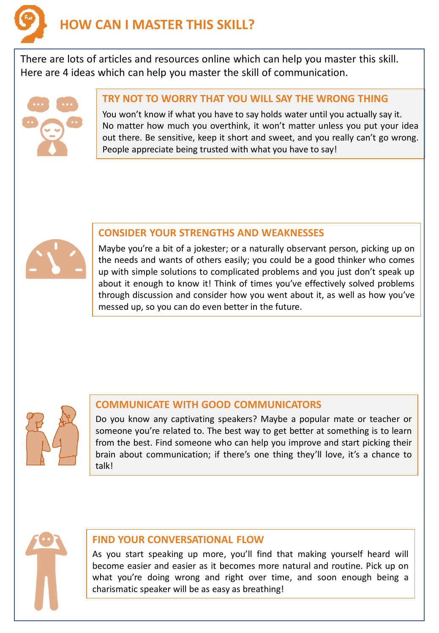

There are lots of articles and resources online which can help you master this skill. Here are 4 ideas which can help you master the skill of communication.



#### **TRY NOT TO WORRY THAT YOU WILL SAY THE WRONG THING**

You won't know if what you have to say holds water until you actually say it. No matter how much you overthink, it won't matter unless you put your idea out there. Be sensitive, keep it short and sweet, and you really can't go wrong. People appreciate being trusted with what you have to say!



#### **CONSIDER YOUR STRENGTHS AND WEAKNESSES**

Maybe you're a bit of a jokester; or a naturally observant person, picking up on the needs and wants of others easily; you could be a good thinker who comes up with simple solutions to complicated problems and you just don't speak up about it enough to know it! Think of times you've effectively solved problems through discussion and consider how you went about it, as well as how you've messed up, so you can do even better in the future.



#### **COMMUNICATE WITH GOOD COMMUNICATORS**

Do you know any captivating speakers? Maybe a popular mate or teacher or someone you're related to. The best way to get better at something is to learn from the best. Find someone who can help you improve and start picking their brain about communication; if there's one thing they'll love, it's a chance to talk!



#### **FIND YOUR CONVERSATIONAL FLOW**

As you start speaking up more, you'll find that making yourself heard will become easier and easier as it becomes more natural and routine. Pick up on what you're doing wrong and right over time, and soon enough being a charismatic speaker will be as easy as breathing!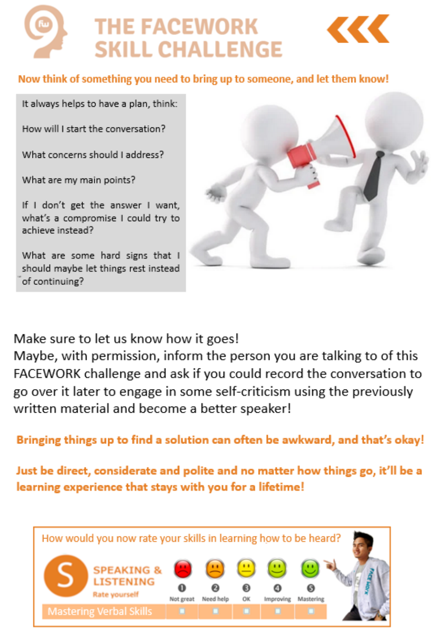## **THE FACEWORK KK SKILL CHALLENGE**

#### Now think of something you need to bring up to someone, and let them know!

It always helps to have a plan, think:

How will I start the conversation?

What concerns should I address?

What are my main points?

If I don't get the answer I want, what's a compromise I could try to achieve instead?

What are some hard signs that I should maybe let things rest instead of continuing?



Make sure to let us know how it goes!

Maybe, with permission, inform the person you are talking to of this FACEWORK challenge and ask if you could record the conversation to go over it later to engage in some self-criticism using the previously written material and become a better speaker!

Bringing things up to find a solution can often be awkward, and that's okay!

Just be direct, considerate and polite and no matter how things go, it'll be a learning experience that stays with you for a lifetime!